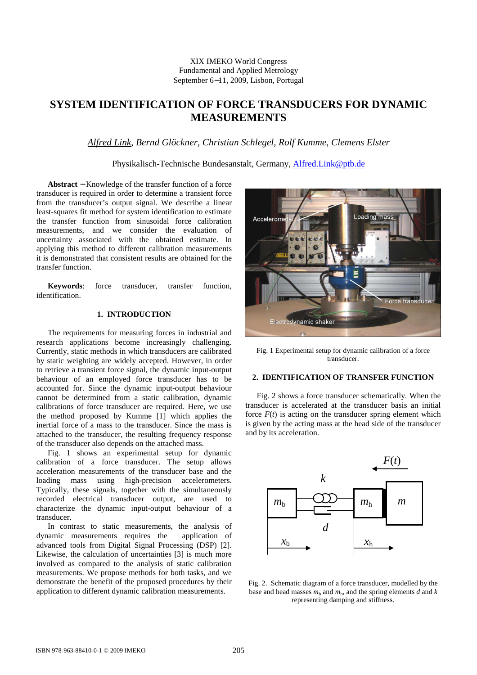### XIX IMEKO World Congress Fundamental and Applied Metrology September 6−11, 2009, Lisbon, Portugal

# **SYSTEM IDENTIFICATION OF FORCE TRANSDUCERS FOR DYNAMIC MEASUREMENTS**

*Alfred Link*, *Bernd Glöckner, Christian Schlegel, Rolf Kumme, Clemens Elster* 

Physikalisch-Technische Bundesanstalt, Germany, Alfred.Link@ptb.de

**Abstract** − Knowledge of the transfer function of a force transducer is required in order to determine a transient force from the transducer's output signal. We describe a linear least-squares fit method for system identification to estimate the transfer function from sinusoidal force calibration measurements, and we consider the evaluation of uncertainty associated with the obtained estimate. In applying this method to different calibration measurements it is demonstrated that consistent results are obtained for the transfer function.

**Keywords**: force transducer, transfer function, identification.

# **1. INTRODUCTION**

The requirements for measuring forces in industrial and research applications become increasingly challenging. Currently, static methods in which transducers are calibrated by static weighting are widely accepted. However, in order to retrieve a transient force signal, the dynamic input-output behaviour of an employed force transducer has to be accounted for. Since the dynamic input-output behaviour cannot be determined from a static calibration, dynamic calibrations of force transducer are required. Here, we use the method proposed by Kumme [1] which applies the inertial force of a mass to the transducer. Since the mass is attached to the transducer, the resulting frequency response of the transducer also depends on the attached mass.

Fig. 1 shows an experimental setup for dynamic calibration of a force transducer. The setup allows acceleration measurements of the transducer base and the loading mass using high-precision accelerometers. Typically, these signals, together with the simultaneously recorded electrical transducer output, are used to characterize the dynamic input-output behaviour of a transducer.

In contrast to static measurements, the analysis of dynamic measurements requires the application of advanced tools from Digital Signal Processing (DSP) [2]. Likewise, the calculation of uncertainties [3] is much more involved as compared to the analysis of static calibration measurements. We propose methods for both tasks, and we demonstrate the benefit of the proposed procedures by their application to different dynamic calibration measurements.



Fig. 1 Experimental setup for dynamic calibration of a force transducer.

## **2. IDENTIFICATION OF TRANSFER FUNCTION**

Fig. 2 shows a force transducer schematically. When the transducer is accelerated at the transducer basis an initial force  $F(t)$  is acting on the transducer spring element which is given by the acting mass at the head side of the transducer and by its acceleration.



Fig. 2. Schematic diagram of a force transducer, modelled by the base and head masses  $m_b$  and  $m_h$ , and the spring elements  $d$  and  $k$ representing damping and stiffness.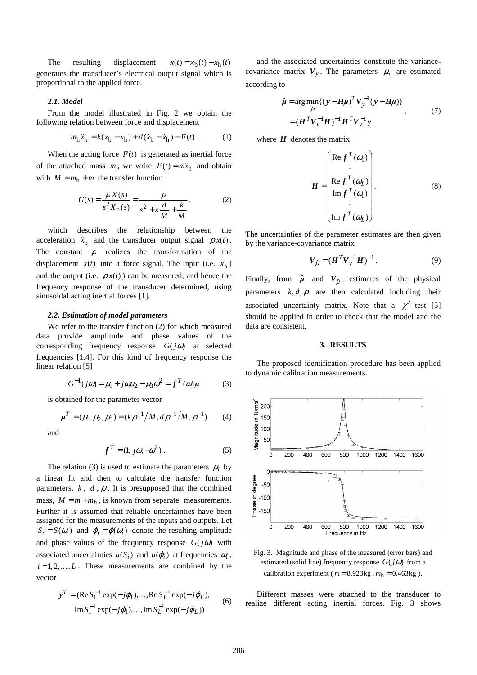The resulting displacement  $x(t) = x_b(t) - x_h(t)$ generates the transducer's electrical output signal which is proportional to the applied force.

#### *2.1. Model*

From the model illustrated in Fig. 2 we obtain the following relation between force and displacement

$$
m_{\rm h}\ddot{x}_{\rm h} = k(x_{\rm b} - x_{\rm h}) + d(\dot{x}_{\rm b} - \dot{x}_{\rm h}) - F(t) \,. \tag{1}
$$

When the acting force  $F(t)$  is generated as inertial force of the attached mass *m*, we write  $F(t) = m\ddot{x}_h$  and obtain with  $M = m<sub>h</sub> + m$  the transfer function

$$
G(s) = \frac{\rho X(s)}{s^2 X_b(s)} = \frac{\rho}{s^2 + s\frac{d}{M} + \frac{k}{M}},
$$
 (2)

which describes the relationship between the acceleration  $\ddot{x}_b$  and the transducer output signal  $\rho x(t)$ . The constant  $\rho$  realizes the transformation of the displacement  $x(t)$  into a force signal. The input (i.e.  $\ddot{x}_b$ ) and the output (i.e.  $\rho x(t)$ ) can be measured, and hence the frequency response of the transducer determined, using sinusoidal acting inertial forces [1].

#### *2.2. Estimation of model parameters*

We refer to the transfer function (2) for which measured data provide amplitude and phase values of the corresponding frequency response *G*( *j*ω) at selected frequencies [1,4]. For this kind of frequency response the linear relation [5]

$$
G^{-1}(j\omega) = \mu_1 + j\omega\mu_2 - \mu_3\omega^2 = f^T(\omega)\mu
$$
 (3)

is obtained for the parameter vector

$$
\mu^T = (\mu_1, \mu_2, \mu_3) = (k \rho^{-1} / M, d \rho^{-1} / M, \rho^{-1})
$$
 (4)

and

$$
f^T = (1, j\omega, -\omega^2) \,. \tag{5}
$$

The relation (3) is used to estimate the parameters  $\mu_i$  by a linear fit and then to calculate the transfer function parameters,  $k$ ,  $d$ ,  $\rho$ . It is presupposed that the combined mass,  $M = m + m_h$ , is known from separate measurements. Further it is assumed that reliable uncertainties have been assigned for the measurements of the inputs and outputs. Let  $S_i = S(\omega_i)$  and  $\varphi_i = \varphi(\omega_i)$  denote the resulting amplitude and phase values of the frequency response  $G(j\omega)$  with associated uncertainties  $u(S_i)$  and  $u(\varphi_i)$  at frequencies  $\omega_i$ ,  $i = 1, 2, \dots, L$ . These measurements are combined by the vector

$$
\mathbf{y}^T = (\text{Re}\,S_1^{-1}\exp(-j\varphi_1), \dots, \text{Re}\,S_L^{-1}\exp(-j\varphi_L),
$$
  
\n
$$
\text{Im}\,S_1^{-1}\exp(-j\varphi_1), \dots, \text{Im}\,S_L^{-1}\exp(-j\varphi_L))
$$
 (6)

and the associated uncertainties constitute the variancecovariance matrix  $V_y$ . The parameters  $\mu_i$  are estimated according to

$$
\hat{\mu} = \arg \min_{\mu} \{ (\mathbf{y} - \mathbf{H}\mu)^T \mathbf{V}_y^{-1} (\mathbf{y} - \mathbf{H}\mu) \}
$$
\n
$$
= (\mathbf{H}^T \mathbf{V}_y^{-1} \mathbf{H})^{-1} \mathbf{H}^T \mathbf{V}_y^{-1} \mathbf{y}
$$
\n(7)

where  $H$  denotes the matrix

$$
\mathbf{H} = \begin{pmatrix} \text{Re} \, f^T(\omega_1) \\ \vdots \\ \text{Re} \, f^T(\omega_L) \\ \text{Im} \, f^T(\omega_1) \\ \vdots \\ \text{Im} \, f^T(\omega_L) \end{pmatrix} . \tag{8}
$$

The uncertainties of the parameter estimates are then given by the variance-covariance matrix

$$
V_{\hat{\mu}} = (H^T V_y^{-1} H)^{-1}.
$$
 (9)

Finally, from  $\hat{\mu}$  and  $V_{\hat{\mu}}$ , estimates of the physical parameters  $k, d, \rho$  are then calculated including their associated uncertainty matrix. Note that a  $\chi^2$ -test [5] should be applied in order to check that the model and the data are consistent.

#### **3. RESULTS**

The proposed identification procedure has been applied to dynamic calibration measurements.



Fig. 3. Magnitude and phase of the measured (error bars) and estimated (solid line) frequency response  $G(j\omega)$  from a calibration experiment ( $m = 8.923$ kg,  $m_h = 0.463$ kg).

Different masses were attached to the transducer to realize different acting inertial forces. Fig. 3 shows